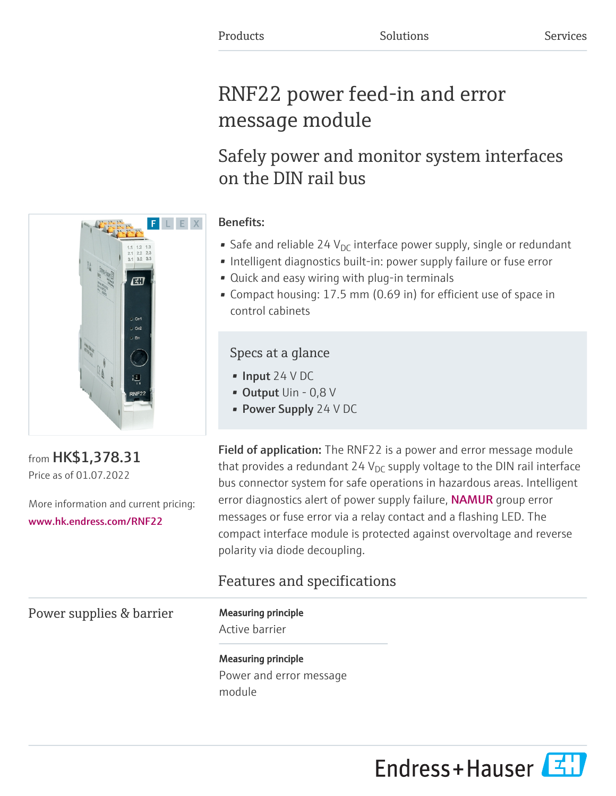# RNF22 power feed-in and error message module

## Safely power and monitor system interfaces on the DIN rail bus

## Benefits:

- Safe and reliable 24  $V_{\text{DC}}$  interface power supply, single or redundant
- Intelligent diagnostics built-in: power supply failure or fuse error
- Quick and easy wiring with plug-in terminals
- Compact housing: 17.5 mm (0.69 in) for efficient use of space in control cabinets

## Specs at a glance

- Input 24 V DC
- Output Uin 0,8 V
- Power Supply 24 V DC

Field of application: The RNF22 is a power and error message module that provides a redundant 24 V<sub>DC</sub> supply voltage to the DIN rail interface bus connector system for safe operations in hazardous areas. Intelligent error diagnostics alert of power supply failure, NAMUR group error messages or fuse error via a relay contact and a flashing LED. The compact interface module is protected against overvoltage and reverse polarity via diode decoupling.

## Features and specifications

Power supplies & barrier Measuring principle

Active barrier

Measuring principle Power and error message module





from HK\$1,378.31 Price as of 01.07.2022

More information and current pricing: [www.hk.endress.com/RNF22](https://www.hk.endress.com/RNF22)